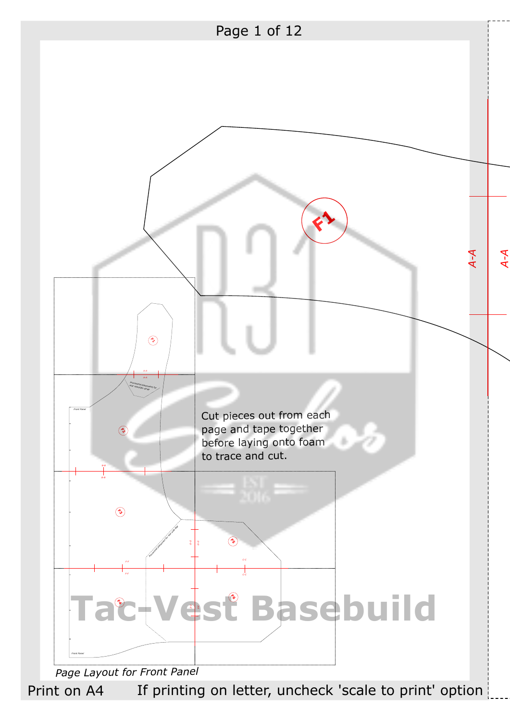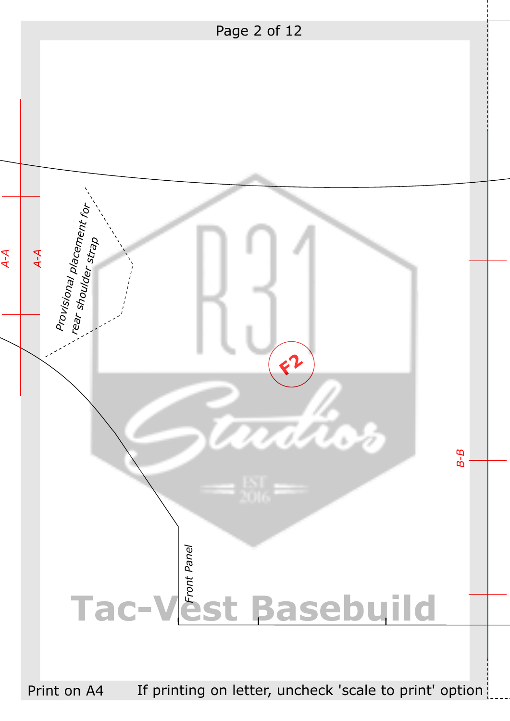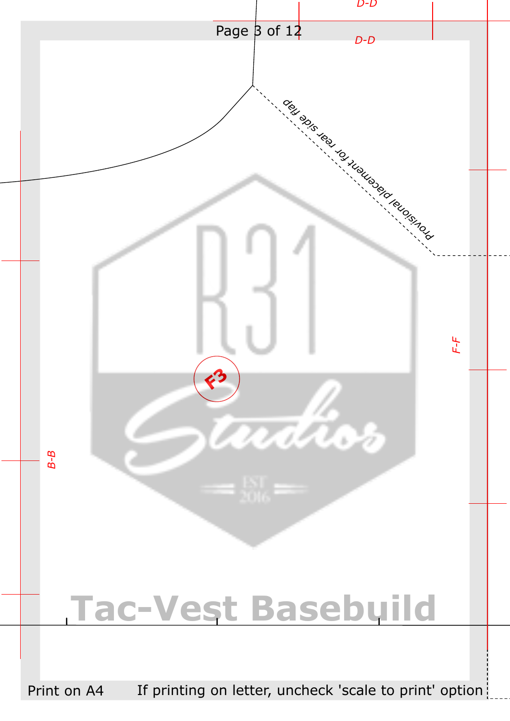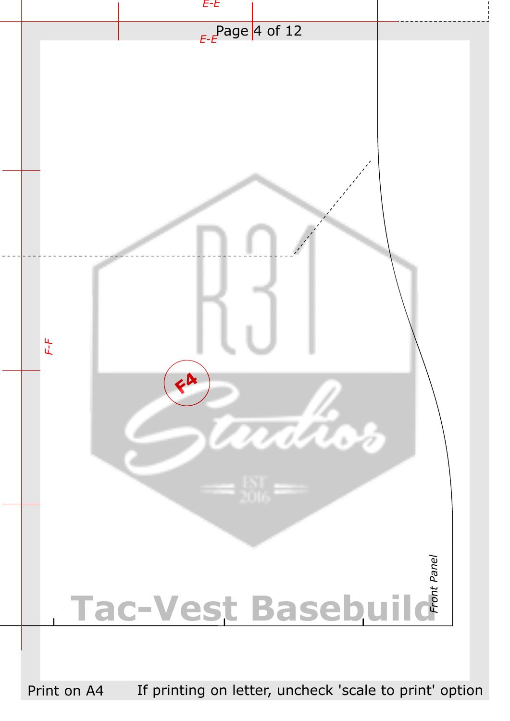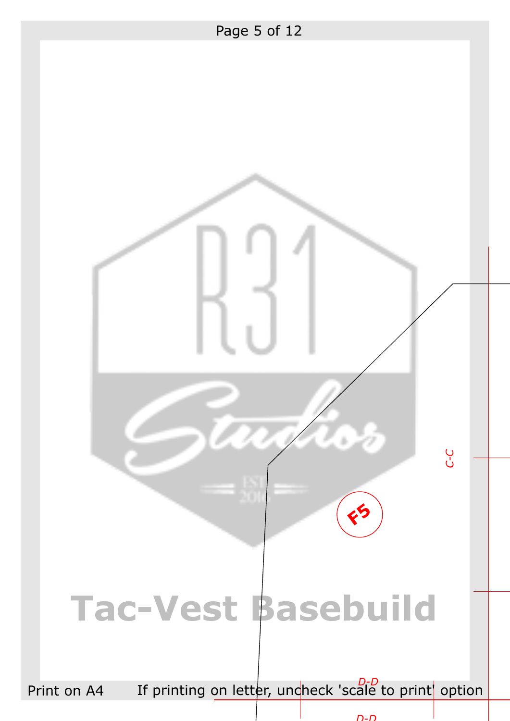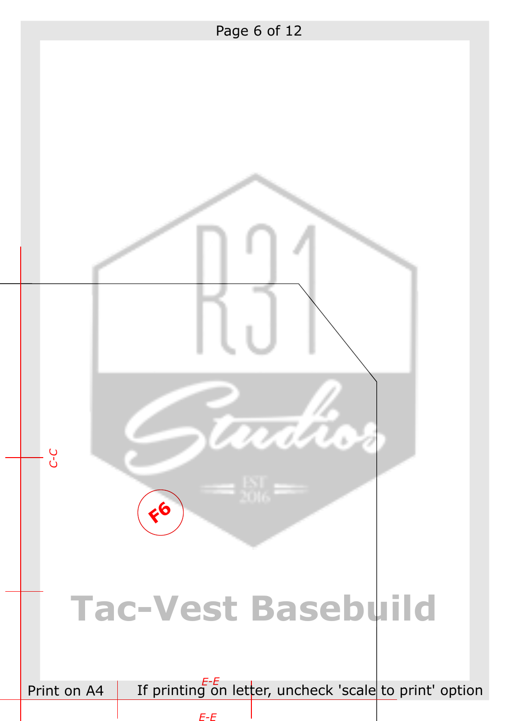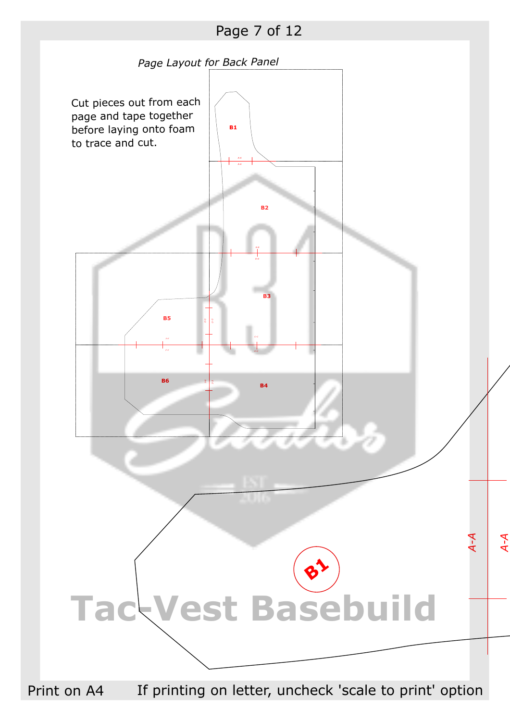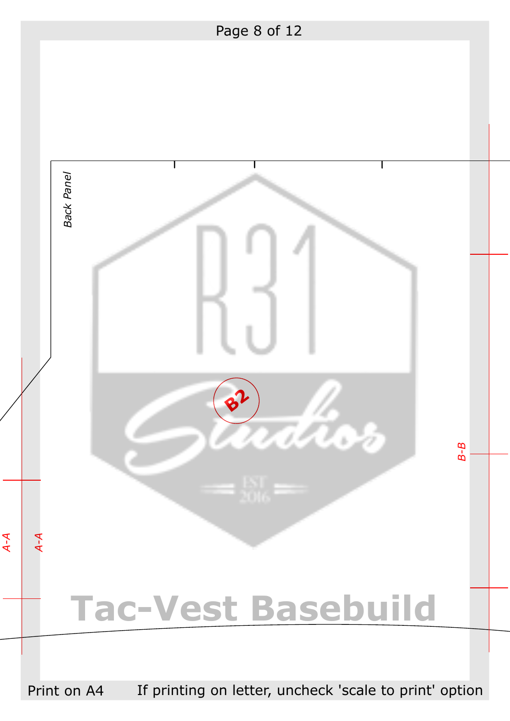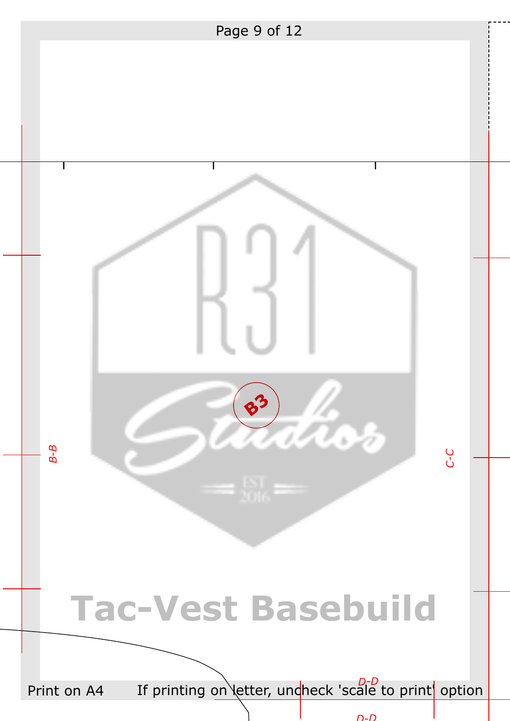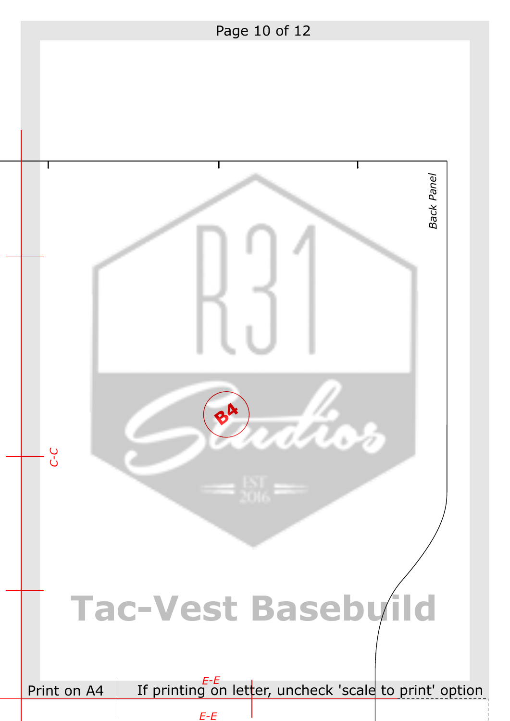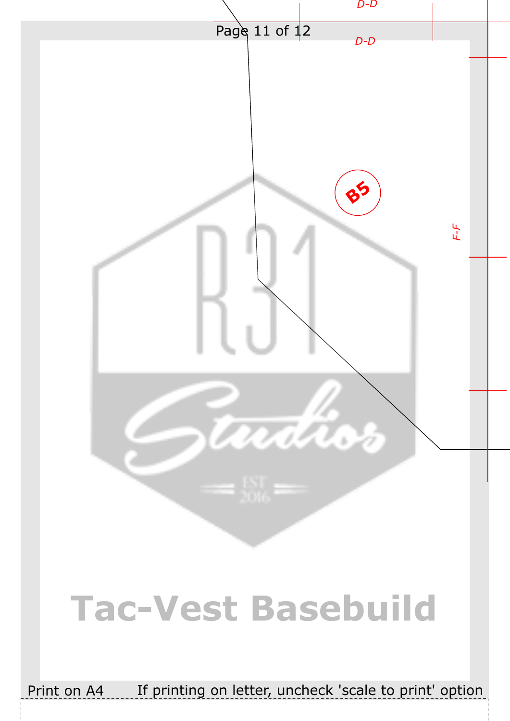

## **Tac-Vest Basebuild**